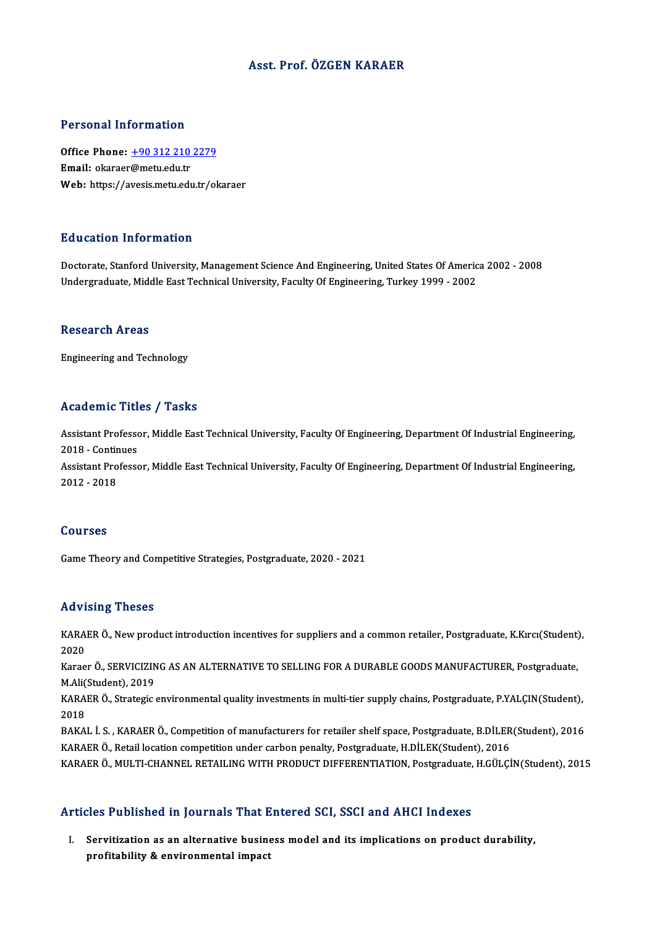## Asst. Prof. ÖZGEN KARAER

### Personal Information

Personal Information<br>Office Phone: <u>+90 312 210 2279</u><br>Email: ekaraer@matu.edu.tr office Phone: <u>+90 312 210</u><br>Email: okaraer[@metu.edu.tr](tel:+90 312 210 2279)<br>Web: https://avesis.metu.edu Email: okaraer@metu.edu.tr<br>Web: https://avesis.metu.edu.tr/okaraer

### Education Information

Doctorate, Stanford University, Management Science And Engineering, United States Of America 2002 - 2008 Undergraduate, Middle East Technical University, Faculty Of Engineering, Turkey 1999 - 2002

#### Research Areas

Engineering and Technology

## Academic Titles / Tasks

Academic Titles / Tasks<br>Assistant Professor, Middle East Technical University, Faculty Of Engineering, Department Of Industrial Engineering,<br>2018 - Continues Assistant Professo<br>2018 - Continues<br>Assistant Professo Assistant Professor, Middle East Technical University, Faculty Of Engineering, Department Of Industrial Engineering,<br>2018 - Continues<br>Assistant Professor, Middle East Technical University, Faculty Of Engineering, Departmen 2018 - Contir<br>Assistant Pro<br>2012 - 2018

# 2012 - 2018<br>Courses

Game Theory and Competitive Strategies, Postgraduate, 2020 - 2021

#### Advising Theses

Advising Theses<br>KARAER Ö., New product introduction incentives for suppliers and a common retailer, Postgraduate, K.Kırcı(Student),<br>2020 2020<br>2020<br>2020 KARAER Ö., New product introduction incentives for suppliers and a common retailer, Postgraduate, K.Kırcı(Student)<br>2020<br>Karaer Ö., SERVICIZING AS AN ALTERNATIVE TO SELLING FOR A DURABLE GOODS MANUFACTURER, Postgraduate,<br>M

2020<br>Karaer Ö., SERVICIZING AS AN ALTERNATIVE TO SELLING FOR A DURABLE GOODS MANUFACTURER, Postgraduate,<br>M.Ali(Student). 2019 Karaer Ö., SERVICIZING AS AN ALTERNATIVE TO SELLING FOR A DURABLE GOODS MANUFACTURER, Postgraduate,<br>M.Ali(Student), 2019<br>KARAER Ö., Strategic environmental quality investments in multi-tier supply chains, Postgraduate, P.Y

M.Ali<mark>(</mark><br>KARA<br>2018<br>PAKA KARAER Ö., Strategic environmental quality investments in multi-tier supply chains, Postgraduate, P.YALÇIN(Student),<br>2018<br>BAKAL İ. S. , KARAER Ö., Competition of manufacturers for retailer shelf space, Postgraduate, B.DİLE

2018<br>BAKAL İ. S. , KARAER Ö., Competition of manufacturers for retailer shelf space, Postgraduate, B.DİLER(Student), 2016<br>KARAER Ö., Retail location competition under carbon penalty, Postgraduate, H.DİLEK(Student), 2016

KARAER Ö., MULTI-CHANNEL RETAILING WITH PRODUCT DIFFERENTIATION, Postgraduate, H.GÜLÇİN(Student), 2015

#### Articles Published in Journals That Entered SCI, SSCI and AHCI Indexes

I. Servitization as an alternative businessmodel and its implications on product durability, profitability & environmental impact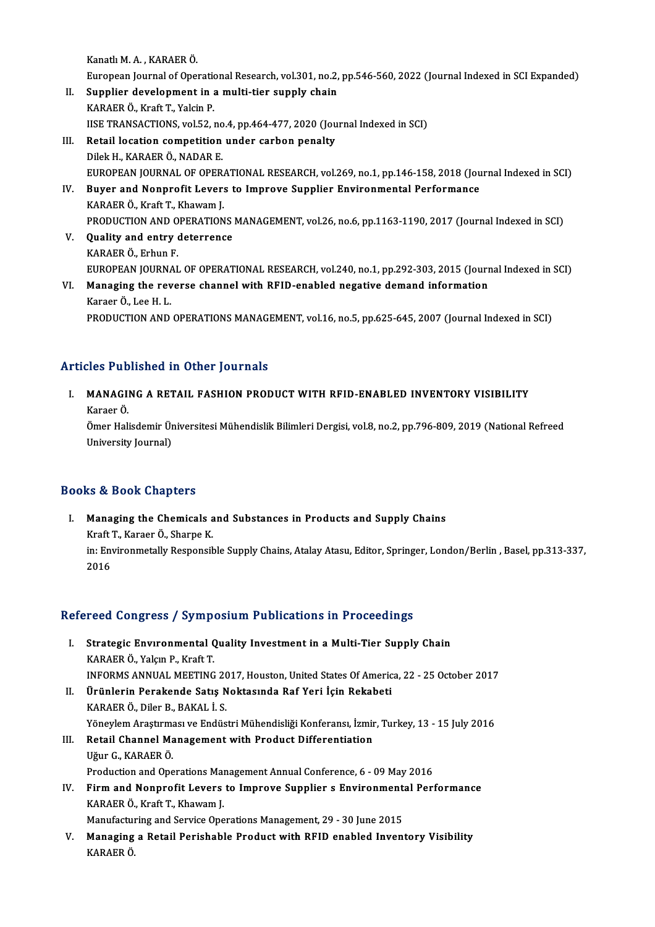KanatlıM.A. ,KARAERÖ.

Kanatlı M. A. , KARAER Ö.<br>European Journal of Operational Research, vol.301, no.2, pp.546-560, 2022 (Journal Indexed in SCI Expanded)<br>Sunnlian development in a multi tien sunnly shein. Kanatlı M. A. , KARAER Ö.<br>European Journal of Operational Research, vol.301, no.2,<br>II. Supplier development in a multi-tier supply chain<br>KARAER Ö. Kust T. Volsin B.

- European Journal of Operation<br>Supplier development in a<br>KARAER Ö., Kraft T., Yalcin P.<br>HSE TRANSACTIONS vol 52.1 Supplier development in a multi-tier supply chain<br>KARAER Ö., Kraft T., Yalcin P.<br>IISE TRANSACTIONS, vol.52, no.4, pp.464-477, 2020 (Journal Indexed in SCI)<br>Petail logation competition under sarbon penalty. KARAER Ö., Kraft T., Yalcin P.<br>IISE TRANSACTIONS, vol.52, no.4, pp.464-477, 2020 (Jou<br>III. Retail location competition under carbon penalty<br>Dilek H., KARAER Ö., NADAR E.
- IISE TRANSACTIONS, vol.52, no<br>Retail location competition<br>Dilek H., KARAER Ö., NADAR E.<br>FUROPEAN JOUPNAL OF OPER Retail location competition under carbon penalty<br>Dilek H., KARAER Ö., NADAR E.<br>EUROPEAN JOURNAL OF OPERATIONAL RESEARCH, vol.269, no.1, pp.146-158, 2018 (Journal Indexed in SCI)<br>Buyer and Nennrefit Levers to Impreye Sunpli Dilek H., KARAER Ö., NADAR E.<br>EUROPEAN JOURNAL OF OPERATIONAL RESEARCH, vol.269, no.1, pp.146-158, 2018 (Jou<br>IV. Buyer and Nonprofit Levers to Improve Supplier Environmental Performance<br>KARAER Ö. Kraft T. Khayam I.
- EUROPEAN JOURNAL OF OPER<br>Buyer and Nonprofit Lever:<br>KARAER Ö., Kraft T., Khawam J.<br>PRODUCTION AND OPERATION Buyer and Nonprofit Levers to Improve Supplier Environmental Performance<br>KARAER Ö., Kraft T., Khawam J.<br>PRODUCTION AND OPERATIONS MANAGEMENT, vol.26, no.6, pp.1163-1190, 2017 (Journal Indexed in SCI)<br>Quality and antuy dete KARAER Ö., Kraft T., Khawam J.<br>PRODUCTION AND OPERATIONS<br>V. Quality and entry deterrence<br>KARAER Ö. Erbun E.
- PRODUCTION AND O<br>Quality and entry<br>KARAER Ö., Erhun F.<br>EUROPEAN JOUPNAL Quality and entry deterrence<br>KARAER Ö., Erhun F.<br>EUROPEAN JOURNAL OF OPERATIONAL RESEARCH, vol.240, no.1, pp.292-303, 2015 (Journal Indexed in SCI)<br>Managing the naverae shannel with BEID enabled negative demand information KARAER Ö., Erhun F.<br>EUROPEAN JOURNAL OF OPERATIONAL RESEARCH, vol.240, no.1, pp.292-303, 2015 (Journ<br>VI. Managing the reverse channel with RFID-enabled negative demand information<br>Kanaging the reverse channel with RFID-ena
- EUROPEAN JOURNA<br>Managing the rev<br>Karaer Ö., Lee H. L.<br>PRODUCTION AND VI. Managing the reverse channel with RFID-enabled negative demand information<br>Karaer Ö., Lee H. L.<br>PRODUCTION AND OPERATIONS MANAGEMENT, vol.16, no.5, pp.625-645, 2007 (Journal Indexed in SCI)

# Articles Published in Other Journals

rticles Published in Other Journals<br>I. MANAGING A RETAIL FASHION PRODUCT WITH RFID-ENABLED INVENTORY VISIBILITY<br>Karaar Ö MANAGI<br>MANAGI<br>Ömer Heli MANAGING A RETAIL FASHION PRODUCT WITH RFID-ENABLED INVENTORY VISIBILITY<br>Karaer Ö.<br>Ömer Halisdemir Üniversitesi Mühendislik Bilimleri Dergisi, vol.8, no.2, pp.796-809, 2019 (National Refreed<br>University Journal) Karaer Ö.<br>Ömer Halisdemir Üniversitesi Mühendislik Bilimleri Dergisi, vol.8, no.2, pp.796-809, 2019 (National Refreed<br>University Journal)

# Books&Book Chapters

ooks & Book Chapters<br>I. Managing the Chemicals and Substances in Products and Supply Chains<br>Kneft T. Kareer Ö. Sharne K Kraft T., Karaer Ö., Sharpe K.<br>Kraft T., Karaer Ö., Sharpe K.<br>in: Environmetally Bespensik in: Environmetally Responsible Supply Chains, Atalay Atasu, Editor, Springer, London/Berlin, Basel, pp.313-337,<br>2016 Kraft T., Karaer Ö., Sharpe K.

# Refereed Congress / Symposium Publications in Proceedings

- efereed Congress / Symposium Publications in Proceedings<br>I. Strategic Environmental Quality Investment in a Multi-Tier Supply Chain<br>KARAERÖ Yolan B. Kraft T XIX SOLET SOLET, SYMPET<br>Strategic Environmental C<br>KARAER Ö., Yalçın P., Kraft T. KARAER Ö., Yalçın P., Kraft T.<br>INFORMS ANNUAL MEETING 2017, Houston, United States Of America, 22 - 25 October 2017 KARAER Ö., Yalçın P., Kraft T.<br>INFORMS ANNUAL MEETING 2017, Houston, United States Of Americ<br>II. Ürünlerin Perakende Satış Noktasında Raf Yeri İçin Rekabeti<br>KARAER Ö. Dilar B. BAKAL İ. S
- INFORMS ANNUAL MEETING 20<br>Ürünlerin Perakende Satış N<br>KARAER Ö., Diler B., BAKAL İ. S.<br>Vänevlem Arestumesu ve Endüs KARAER Ö., Diler B., BAKAL İ. S.<br>Yöneylem Araştırması ve Endüstri Mühendisliği Konferansı, İzmir, Turkey, 13 - 15 July 2016 KARAER Ö., Diler B., BAKAL İ. S.<br>Yöneylem Araştırması ve Endüstri Mühendisliği Konferansı, İzmir<br>III. Retail Channel Management with Product Differentiation
- Yöneylem Araştırma<br><mark>Retail Channel Ma</mark><br>Uğur G., KARAER Ö.<br>Production and One Retail Channel Management with Product Differentiation<br>Uğur G., KARAER Ö.<br>Production and Operations Management Annual Conference, 6 - 09 May 2016<br>Firm and Nannuafit Lavare to Impreye Supplier e Environmental Perí Uğur G., KARAER Ö.<br>Production and Operations Management Annual Conference, 6 - 09 May 2016<br>IV. Firm and Nonprofit Levers to Improve Supplier s Environmental Performance<br>KARAER Ö. Kraft T. Khayam J
- Production and Operations Mai<br>Firm and Nonprofit Levers<br>KARAER Ö., Kraft T., Khawam J.<br>Manufacturing and Sarvice Ope Firm and Nonprofit Levers to Improve Supplier s Environment<br>KARAER Ö., Kraft T., Khawam J.<br>Manufacturing and Service Operations Management, 29 - 30 June 2015<br>Managing a Patail Panishable Product with PEID anabled Invent KARAER Ö., Kraft T., Khawam J.<br>Manufacturing and Service Operations Management, 29 - 30 June 2015<br>V. Managing a Retail Perishable Product with RFID enabled Inventory Visibility<br>KARAER Ö
- Manufactul<br><mark>Managing</mark><br>KARAER Ö.